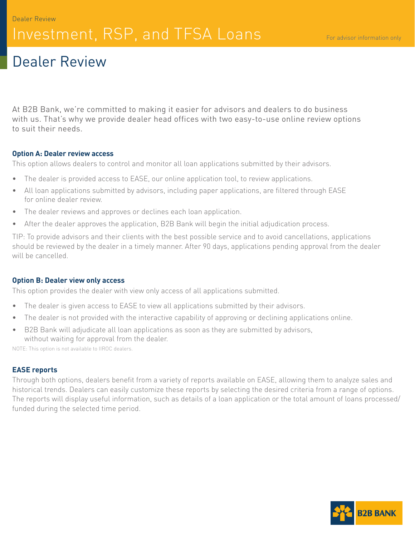# Investment, RSP, and TFSA Loans

# Dealer Review

At B2B Bank, we're committed to making it easier for advisors and dealers to do business with us. That's why we provide dealer head offices with two easy-to-use online review options to suit their needs.

## **Option A: Dealer review access**

This option allows dealers to control and monitor all loan applications submitted by their advisors.

- The dealer is provided access to EASE, our online application tool, to review applications.
- All loan applications submitted by advisors, including paper applications, are filtered through EASE for online dealer review.
- The dealer reviews and approves or declines each loan application.
- After the dealer approves the application, B2B Bank will begin the initial adjudication process.

TIP: To provide advisors and their clients with the best possible service and to avoid cancellations, applications should be reviewed by the dealer in a timely manner. After 90 days, applications pending approval from the dealer will be cancelled.

### **Option B: Dealer view only access**

This option provides the dealer with view only access of all applications submitted.

- The dealer is given access to EASE to view all applications submitted by their advisors.
- The dealer is not provided with the interactive capability of approving or declining applications online.
- B2B Bank will adjudicate all loan applications as soon as they are submitted by advisors, without waiting for approval from the dealer.

NOTE: This option is not available to IIROC dealers.

# **EASE reports**

Through both options, dealers benefit from a variety of reports available on EASE, allowing them to analyze sales and historical trends. Dealers can easily customize these reports by selecting the desired criteria from a range of options. The reports will display useful information, such as details of a loan application or the total amount of loans processed/ funded during the selected time period.